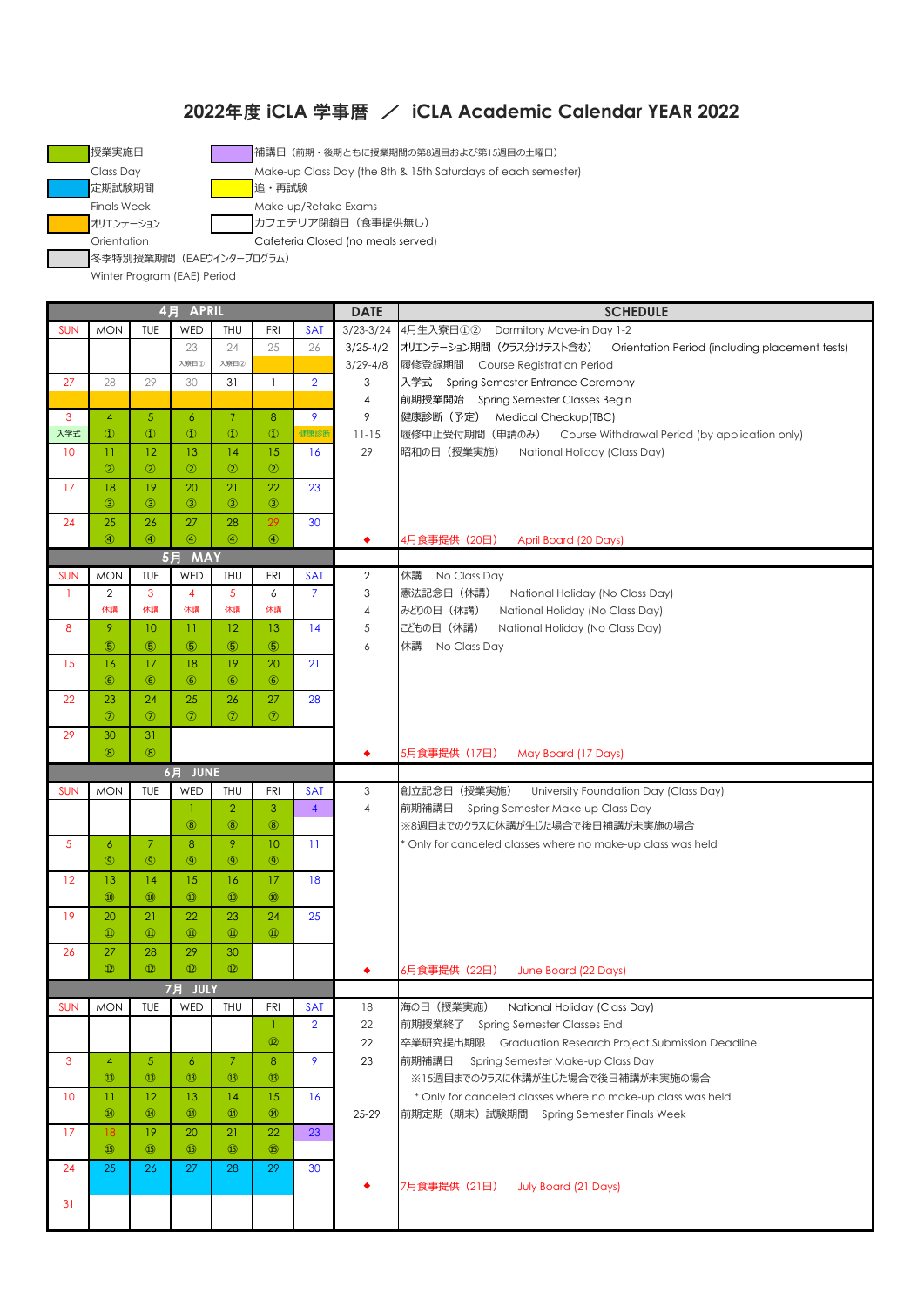## 年度 **iCLA** 学事暦 / **iCLA Academic Calendar YEAR 2022**



Winter Program (EAE) Period

| 4月 APRIL   |                      |                |                      |                      |                      |                         | <b>DATE</b>               | <b>SCHEDULE</b>                                                            |
|------------|----------------------|----------------|----------------------|----------------------|----------------------|-------------------------|---------------------------|----------------------------------------------------------------------------|
| <b>SUN</b> | <b>MON</b>           | TUE            | WED                  | THU                  | <b>FRI</b>           | <b>SAT</b>              | $3/23 - 3/24$             | 4月生入寮日①2 Dormitory Move-in Day 1-2                                         |
|            |                      |                | 23                   | 24                   | 25                   | 26                      | $3/25 - 4/2$              | オリエンテーション期間 (クラス分けテスト含む)<br>Orientation Period (including placement tests) |
|            |                      |                | 入寮日①                 | 入寮日2                 |                      |                         | $3/29 - 4/8$              | 履修登録期間 Course Registration Period                                          |
| 27         | 28                   | 29             | 30                   | 31                   | $\mathbf{1}$         | $\overline{2}$          | 3                         | 入学式 Spring Semester Entrance Ceremony                                      |
|            |                      |                |                      |                      |                      |                         | 4                         | 前期授業開始 Spring Semester Classes Begin                                       |
| 3          | $\overline{4}$       | $\overline{5}$ | $\epsilon$           | 7 <sup>7</sup>       | 8                    | 9                       | 9                         | 健康診断 (予定) Medical Checkup(TBC)                                             |
| 入学式        | $\circled{1}$        | $\circled{1}$  | $\circled{1}$        | $^{\circ}$           | $\circled{1}$        | 健康診断                    | $11 - 15$                 | 履修中止受付期間(申請のみ) Course Withdrawal Period (by application only)              |
| 10         | $_{11}$              | 12             | 13                   | 14                   | 15                   | 16                      | 29                        | 昭和の日(授業実施)<br>National Holiday (Class Day)                                 |
|            | $\circled{2}$        | $\circled{2}$  | $\circled{2}$        | $\circled{2}$        | $\circled{2}$        |                         |                           |                                                                            |
| 17         | 18                   | 19             | 20                   | 21                   | 22                   | 23                      |                           |                                                                            |
|            | $\circled{3}$        | $\circled{3}$  | $\circled{3}$        | $\circled{3}$        | $\circled{3}$        |                         |                           |                                                                            |
| 24         | 25                   | 26             | 27                   | 28                   | 29                   | 30                      |                           |                                                                            |
|            | $\circled{4}$        | $\circled{4}$  | $\circled{4}$        | $\circled{4}$        | $\circled{4}$        |                         | ٠                         | 4月食事提供(20日)<br>April Board (20 Days)                                       |
|            |                      |                | 5月 MAY               |                      |                      |                         |                           |                                                                            |
| <b>SUN</b> | <b>MON</b>           | TUE            | WED                  | THU                  | <b>FRI</b>           | <b>SAT</b>              | 2                         | 休講 No Class Day                                                            |
| -1         | 2                    | 3              | $\overline{4}$       | 5                    | 6                    | $\overline{7}$          | 3                         | 憲法記念日 (休講)<br>National Holiday (No Class Day)                              |
|            | 休講                   | 休講             | 休講                   | 休講                   | 休講                   |                         | 4                         | みどりの日 (休講)<br>National Holiday (No Class Day)                              |
| 8          | 9                    | 10             | $\mathbf{H}$         | 12                   | 13                   | 14                      | 5                         | こどもの日 (休講)<br>National Holiday (No Class Day)                              |
|            | $\circledS$          | $\circledS$    | $\circledS$          | $\circledS$          | $\circledS$          |                         | 6                         | 休講 No Class Day                                                            |
| 15         | 16                   | 17             | 18                   | 19                   | 20                   | 21                      |                           |                                                                            |
|            | $\circled{6}$        | $\circled{6}$  | $\circledast$        | $\circledast$        | $\circled{6}$        |                         |                           |                                                                            |
|            |                      |                |                      |                      |                      |                         |                           |                                                                            |
| 22         | 23<br>$\circledcirc$ | 24             | 25<br>$\circledcirc$ | 26<br>$\circledcirc$ | 27<br>$\circledcirc$ | 28                      |                           |                                                                            |
|            |                      | $\circledcirc$ |                      |                      |                      |                         |                           |                                                                            |
| 29         | 30                   | 31             |                      |                      |                      |                         |                           |                                                                            |
|            | $\circledR$          | $\circledR$    |                      |                      |                      |                         | ٠                         | 5月食事提供 (17日)<br>May Board (17 Days)                                        |
|            |                      |                | 6月 JUNE              |                      |                      |                         |                           |                                                                            |
| <b>SUN</b> | <b>MON</b>           | TUE            | WED                  | THU                  | <b>FRI</b>           | <b>SAT</b>              | $\ensuremath{\mathsf{3}}$ | 創立記念日 (授業実施)<br>University Foundation Day (Class Day)                      |
|            |                      |                | 1                    | $\overline{2}$       | 3                    | $\overline{\mathbf{4}}$ | 4                         | 前期補講日<br>Spring Semester Make-up Class Day                                 |
|            |                      |                | (8)                  | $\circledR$          | $\circledR$          |                         |                           | ※8週目までのクラスに休講が生じた場合で後日補講が未実施の場合                                            |
| 5          | $\epsilon$           | 7              | 8                    | 9                    | 10                   | $\overline{11}$         |                           | * Only for canceled classes where no make-up class was held                |
|            | $\circledcirc$       | $\circledcirc$ | $\circledcirc$       | $\circledcirc$       | $\circledcirc$       |                         |                           |                                                                            |
| 12         | 13                   | 14             | 15                   | 16                   | 17                   | 18                      |                           |                                                                            |
|            | $\omega$             | $\circledR$    | $\circledR$          | $\circledR$          | $\circledR$          |                         |                           |                                                                            |
| 19         | 20                   | 21             | 22                   | 23                   | 24                   | 25                      |                           |                                                                            |
|            | $\circled{1}$        | $\circled{1}$  | $^{\circledR}$       | $^{\circledR}$       | $\circled{1}$        |                         |                           |                                                                            |
| 26         | 27                   | 28             | 29                   | 30                   |                      |                         |                           |                                                                            |
|            | $\circledR$          | $\Omega$       | $\circledR$          | $\circled{12}$       |                      |                         |                           | 6月食事提供 (22日)<br>June Board (22 Days)                                       |
|            |                      |                | 7月 JULY              |                      |                      |                         |                           |                                                                            |
| <b>SUN</b> | <b>MON</b>           | TUE            | WED                  | THU                  | FRI                  | <b>SAT</b>              | 18                        | 海の日(授業実施)<br>National Holiday (Class Day)                                  |
|            |                      |                |                      |                      | $\mathbf{1}$         | $\overline{2}$          | 22                        | 前期授業終了 Spring Semester Classes End                                         |
|            |                      |                |                      |                      | $\circled{1}$        |                         | 22                        | 卒業研究提出期限 Graduation Research Project Submission Deadline                   |
| 3          | $\overline{4}$       | $\sqrt{5}$     | 6                    | $\mathcal{I}$        | 8                    | 9                       | 23                        | 前期補講日<br>Spring Semester Make-up Class Day                                 |
|            | $\circled{1}$        | $\circled{1}$  | $\circled{1}$        | $\circled{1}$        | $\circled{1}$        |                         |                           | ※15週目までのクラスに休講が生じた場合で後日補講が未実施の場合                                           |
| 10         | 11                   | 12             | 13                   | 14                   | 15                   | 16                      |                           | * Only for canceled classes where no make-up class was held                |
|            | $\circled{4}$        | $\circled{4}$  | $\circled{4}$        | $\circled{4}$        | $\circled{4}$        |                         | $25 - 29$                 | 前期定期 (期末) 試験期間 Spring Semester Finals Week                                 |
| 17         | 18                   | 19             | 20                   | 21                   | 22                   | 23                      |                           |                                                                            |
|            | (B)                  | (B)            | (B)                  | $\circled{15}$       | $\circledB$          |                         |                           |                                                                            |
| 24         | 25                   | 26             | 27                   | 28                   | 29                   | 30                      |                           |                                                                            |
|            |                      |                |                      |                      |                      |                         |                           | 7月食事提供 (21日) July Board (21 Days)                                          |
| 31         |                      |                |                      |                      |                      |                         |                           |                                                                            |
|            |                      |                |                      |                      |                      |                         |                           |                                                                            |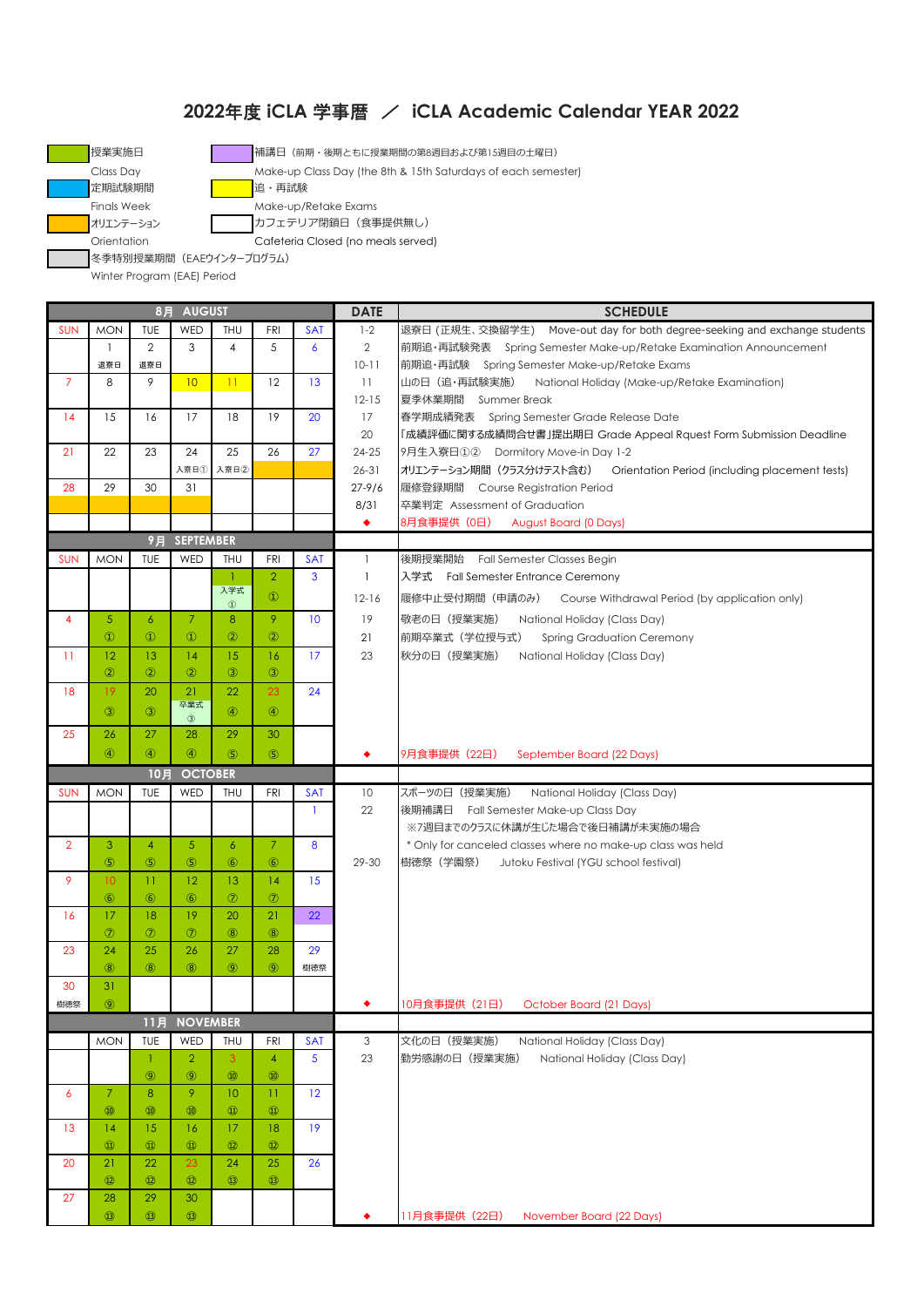## **2022**年度 **iCLA** 学事暦 / **iCLA Academic Calendar YEAR 2022**



■授業実施日 インデン インデン 補講日 (前期・後期ともに授業期間の第8週目および第15週目の土曜日)

Class Day Make-up Class Day (the 8th & 15th Saturdays of each semester)

Orientation Cafeteria Closed (no meals served)

冬季特別授業期間(EAEウインタープログラム)

Winter Program (EAE) Period

|                | 8月 AUGUST           |                     |                     |                 |                |                 |              | <b>SCHEDULE</b>                                                                              |
|----------------|---------------------|---------------------|---------------------|-----------------|----------------|-----------------|--------------|----------------------------------------------------------------------------------------------|
| <b>SUN</b>     | <b>MON</b>          | TUE                 | WED                 | THU             | <b>FRI</b>     | <b>SAT</b>      | $1 - 2$      | 退寮日 (正規生、交換留学生) Move-out day for both degree-seeking and exchange students                   |
|                | $\mathbf{1}$        | $\mathbf{2}$        | 3                   | 4               | 5              | 6               | $\mathbf{2}$ | 前期追·再試験発表 Spring Semester Make-up/Retake Examination Announcement                            |
|                | 退寮日                 | 退寮日                 |                     |                 |                |                 | $10 - 11$    | 前期追·再試験 Spring Semester Make-up/Retake Exams                                                 |
| $\overline{7}$ | 8                   | 9                   | 10                  | $\mathbf{1}$    | 12             | 13              | 11           | 山の日(追・再試験実施)<br>National Holiday (Make-up/Retake Examination)                                |
|                |                     |                     |                     |                 |                |                 | $12 - 15$    | 夏季休業期間 Summer Break                                                                          |
| 14             | 15                  | 16                  | 17                  | 18              | 19             | 20              | 17           | 春学期成績発表 Spring Semester Grade Release Date                                                   |
|                |                     |                     |                     |                 |                |                 | 20           | 「成績評価に関する成績問合せ書」提出期日 Grade Appeal Rquest Form Submission Deadline                            |
| 21             | 22                  | 23                  | 24                  | 25              | 26             | 27              | 24-25        | 9月生入寮日①2 Dormitory Move-in Day 1-2                                                           |
|                |                     |                     | 入寮日①                | 入寮日2            |                |                 | $26 - 31$    | オリエンテーション期間 (クラス分けテスト含む)<br>Orientation Period (including placement tests)                   |
| 28             | 29                  | 30                  | 31                  |                 |                |                 | $27 - 9/6$   | 履修登録期間 Course Registration Period                                                            |
|                |                     |                     |                     |                 |                |                 | 8/31         | 卒業判定 Assessment of Graduation                                                                |
|                |                     |                     |                     |                 |                |                 | ٠            | 8月食事提供 (0日)<br><b>August Board (0 Days)</b>                                                  |
|                |                     | 9月                  | <b>SEPTEMBER</b>    |                 |                |                 |              |                                                                                              |
| <b>SUN</b>     | <b>MON</b>          | TUE                 | WED                 | THU             | <b>FRI</b>     | <b>SAT</b>      | $\mathbf{1}$ | 後期授業開始 Fall Semester Classes Begin                                                           |
|                |                     |                     |                     | -1              | $\overline{2}$ | 3               | $\mathbf{1}$ | 入学式 Fall Semester Entrance Ceremony                                                          |
|                |                     |                     |                     | 入学式             |                |                 |              |                                                                                              |
|                |                     |                     |                     | $^\circledR$    | $\circled{1}$  |                 | $12 - 16$    | 履修中止受付期間(申請のみ)<br>Course Withdrawal Period (by application only)                             |
| $\overline{4}$ | 5 <sup>5</sup>      | $\overline{6}$      | $\overline{7}$      | 8               | 9              | 10              | 19           | 敬老の日 (授業実施)<br>National Holiday (Class Day)                                                  |
|                | $\circled{1}$       | $\circled{1}$       | $\circled{1}$       | $\circled{2}$   | $\circled{2}$  |                 | 21           | 前期卒業式(学位授与式)<br><b>Spring Graduation Ceremony</b>                                            |
| $\mathbf{1}$   | 12                  | 13                  | 14                  | 15              | 16             | 17              | 23           | 秋分の日(授業実施)<br>National Holiday (Class Day)                                                   |
|                | $\circled{2}$       | $\circled{2}$       | $^{\circledR}$      | $\circledS$     | $\circled{3}$  |                 |              |                                                                                              |
| 18             | 19                  | 20                  | 21                  | 22              | 23             | 24              |              |                                                                                              |
|                | $\circled{3}$       | $\circled{3}$       | 卒業式                 | $\circledA$     | $\circledA$    |                 |              |                                                                                              |
|                |                     |                     | $^\circledR$        |                 |                |                 |              |                                                                                              |
| 25             | 26                  | 27                  | 28                  | 29              | 30             |                 |              |                                                                                              |
|                | $\circled{4}$       | $\circled{4}$       | $\circled{4}$       | (5)             | $\circ$        |                 |              | 9月食事提供 (22日)<br>September Board (22 Days)                                                    |
|                |                     | 10月                 | <b>OCTOBER</b>      |                 |                |                 |              |                                                                                              |
| <b>SUN</b>     | <b>MON</b>          | TUE                 | WED                 | <b>THU</b>      | <b>FRI</b>     | <b>SAT</b>      | 10           | スポーツの日 (授業実施)<br>National Holiday (Class Day)                                                |
|                |                     |                     |                     |                 |                | -1              | 22           | 後期補講日 Fall Semester Make-up Class Day                                                        |
|                |                     |                     |                     |                 |                |                 |              | ※7週目までのクラスに休講が生じた場合で後日補講が未実施の場合                                                              |
| $\overline{2}$ | 3                   | $\overline{4}$      | $\sqrt{5}$          | $\overline{6}$  | $\overline{7}$ | 8               |              | * Only for canceled classes where no make-up class was held                                  |
|                | $\circledS$         |                     |                     |                 |                |                 |              |                                                                                              |
| 9              |                     | $\circledS$         | $\circledS$         | $\circledast$   | $\circled{6}$  |                 | 29-30        | 樹徳祭(学園祭)<br>Jutoku Festival (YGU school festival)                                            |
|                | 10 <sup>°</sup>     | 11                  | 12                  | 13              | 14             | 15              |              |                                                                                              |
|                | $\circled{6}$       | $\circled{6}$       | $\circledast$       | $\circledcirc$  | $\circledcirc$ |                 |              |                                                                                              |
| 16             | 17                  | 18                  | 19                  | 20              | 21             | 22              |              |                                                                                              |
|                | $\circledcirc$      | $\circledcirc$      | $^{\circledR}$      | (8)             | $\circledR$    |                 |              |                                                                                              |
| 23             | 24                  | 25                  | 26                  | 27              | 28             | 29              |              |                                                                                              |
|                | (8)                 | $\circledR$         | (8)                 | (9)             | $\circledcirc$ | 樹徳祭             |              |                                                                                              |
| 30             | 31                  |                     |                     |                 |                |                 |              |                                                                                              |
| 樹徳祭            | $\circledcirc$      |                     |                     |                 |                |                 |              | 10月食事提供 (21日) October Board (21 Days)                                                        |
|                |                     | 11月                 | <b>NOVEMBER</b>     |                 |                |                 |              |                                                                                              |
|                | <b>MON</b>          | TUE                 | WED                 | THU             | <b>FRI</b>     | <b>SAT</b>      | 3            |                                                                                              |
|                |                     | 1                   | $\overline{2}$      | 3               | $\overline{4}$ | $5\phantom{.0}$ | 23           | 文化の日 (授業実施)<br>National Holiday (Class Day)<br>勤労感謝の日 (授業実施)<br>National Holiday (Class Day) |
|                |                     |                     |                     | $\circledR$     | $\circledcirc$ |                 |              |                                                                                              |
|                | $\overline{7}$      | $\circledcirc$      | $\circledcirc$<br>9 |                 |                |                 |              |                                                                                              |
| $\epsilon$     |                     | 8                   |                     | 10 <sup>°</sup> | $_{11}$        | 12              |              |                                                                                              |
|                | $\circledR$         | $\circledR$         | $^{\circledR}$      | $^{\circledR}$  | $\circled{1}$  |                 |              |                                                                                              |
| 13             | 14                  | 15                  | 16                  | 17              | 18             | 19              |              |                                                                                              |
|                | $^{\circledR}$      | $\circled{1}$       | $^{\circledR}$      | $\circled{12}$  | $\circledR$    |                 |              |                                                                                              |
| 20             | 21                  | 22                  | 23                  | 24              | 25             | 26              |              |                                                                                              |
|                | $\circled{12}$      | $\circledR$         | $\circledR$         | $\circled{1}$   | $\circled{1}$  |                 |              |                                                                                              |
| 27             | 28<br>$\circled{1}$ | 29<br>$\circled{1}$ | 30<br>$\circled{1}$ |                 |                |                 |              | 11月食事提供 (22日)<br>November Board (22 Days)                                                    |